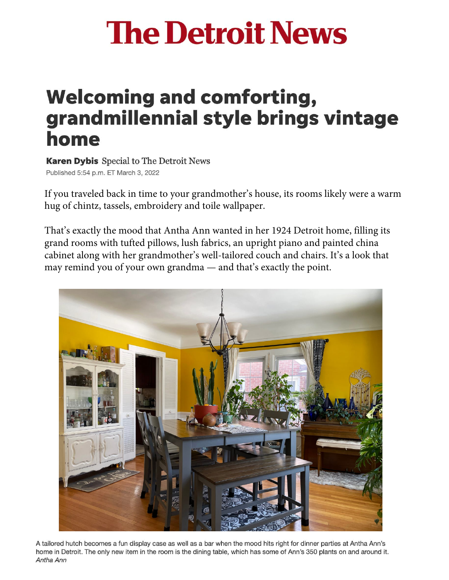## **The Detroit News**

## **Welcoming and comforting,** grandmillennial style brings vintage home

**Karen Dybis** Special to The Detroit News Published 5:54 p.m. ET March 3, 2022

If you traveled back in time to your grandmother's house, its rooms likely were a warm hug of chintz, tassels, embroidery and toile wallpaper.

That's exactly the mood that Antha Ann wanted in her 1924 Detroit home, filling its grand rooms with tufted pillows, lush fabrics, an upright piano and painted china cabinet along with her grandmother's well-tailored couch and chairs. It's a look that may remind you of your own grandma — and that's exactly the point.



A tailored hutch becomes a fun display case as well as a bar when the mood hits right for dinner parties at Antha Ann's home in Detroit. The only new item in the room is the dining table, which has some of Ann's 350 plants on and around it. Antha Ann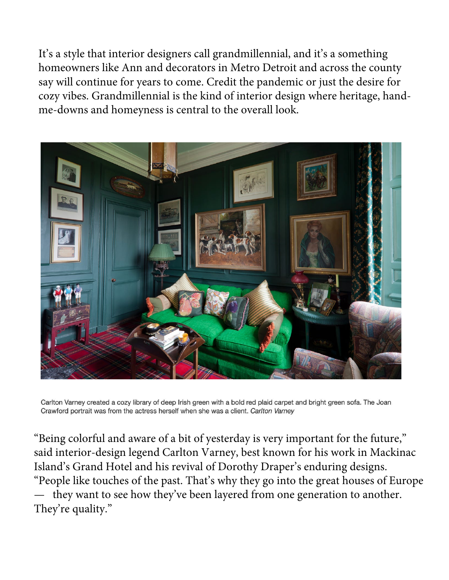It's a style that interior designers call grandmillennial, and it's a something homeowners like Ann and decorators in Metro Detroit and across the county say will continue for years to come. Credit the pandemic or just the desire for cozy vibes. Grandmillennial is the kind of interior design where heritage, handme-downs and homeyness is central to the overall look.



Carlton Varney created a cozy library of deep Irish green with a bold red plaid carpet and bright green sofa. The Joan Crawford portrait was from the actress herself when she was a client. Carlton Varney

"Being colorful and aware of a bit of yesterday is very important for the future," said interior-design legend Carlton Varney, best known for his work in Mackinac Island's Grand Hotel and his revival of Dorothy Draper's enduring designs. "People like touches of the past. That's why they go into the great houses of Europe they want to see how they've been layered from one generation to another. They're quality."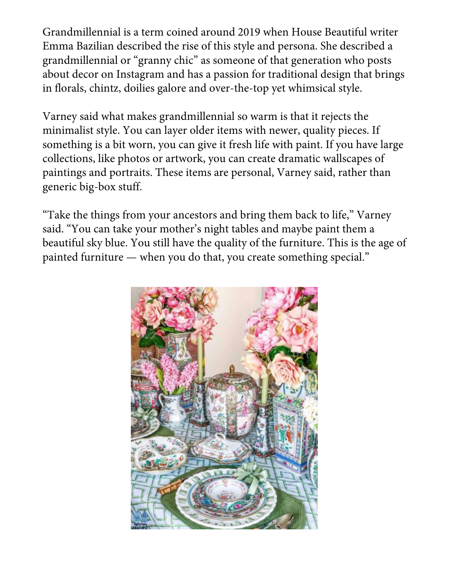Grandmillennial is a term coined around 2019 when House Beautiful writer Emma Bazilian described the rise of this style and persona. She described a grandmillennial or "granny chic" as someone of that generation who posts about decor on Instagram and has a passion for traditional design that brings in florals, chintz, doilies galore and over-the-top yet whimsical style.

Varney said what makes grandmillennial so warm is that it rejects the minimalist style. You can layer older items with newer, quality pieces. If something is a bit worn, you can give it fresh life with paint. If you have large collections, like photos or artwork, you can create dramatic wallscapes of paintings and portraits. These items are personal, Varney said, rather than generic big-box stuff.

"Take the things from your ancestors and bring them back to life," Varney said. "You can take your mother's night tables and maybe paint them a beautiful sky blue. You still have the quality of the furniture. This is the age of painted furniture — when you do that, you create something special."

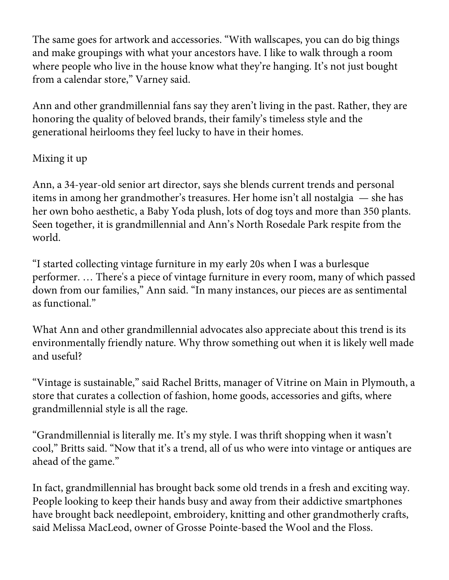The same goes for artwork and accessories. "With wallscapes, you can do big things and make groupings with what your ancestors have. I like to walk through a room where people who live in the house know what they're hanging. It's not just bought from a calendar store," Varney said.

Ann and other grandmillennial fans say they aren't living in the past. Rather, they are honoring the quality of beloved brands, their family's timeless style and the generational heirlooms they feel lucky to have in their homes.

## Mixing it up

Ann, a 34-year-old senior art director, says she blends current trends and personal items in among her grandmother's treasures. Her home isn't all nostalgia — she has her own boho aesthetic, a Baby Yoda plush, lots of dog toys and more than 350 plants. Seen together, it is grandmillennial and Ann's North Rosedale Park respite from the world.

"I started collecting vintage furniture in my early 20s when I was a burlesque performer. … There's a piece of vintage furniture in every room, many of which passed down from our families," Ann said. "In many instances, our pieces are as sentimental as functional."

What Ann and other grandmillennial advocates also appreciate about this trend is its environmentally friendly nature. Why throw something out when it is likely well made and useful?

"Vintage is sustainable," said Rachel Britts, manager of Vitrine on Main in Plymouth, a store that curates a collection of fashion, home goods, accessories and gifts, where grandmillennial style is all the rage.

"Grandmillennial is literally me. It's my style. I was thrift shopping when it wasn't cool," Britts said. "Now that it's a trend, all of us who were into vintage or antiques are ahead of the game."

In fact, grandmillennial has brought back some old trends in a fresh and exciting way. People looking to keep their hands busy and away from their addictive smartphones have brought back needlepoint, embroidery, knitting and other grandmotherly crafts, said Melissa MacLeod, owner of Grosse Pointe-based the Wool and the Floss.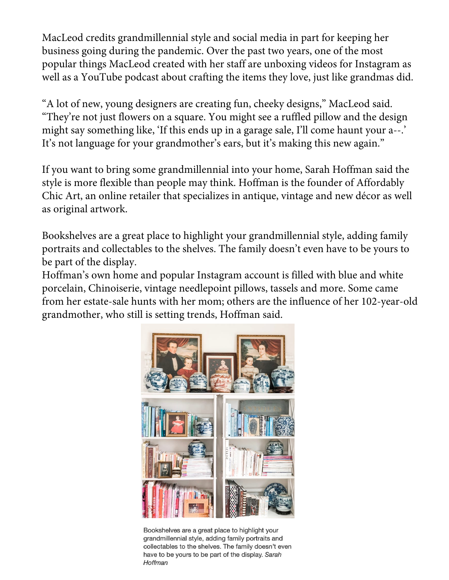MacLeod credits grandmillennial style and social media in part for keeping her business going during the pandemic. Over the past two years, one of the most popular things MacLeod created with her staff are unboxing videos for Instagram as well as a YouTube podcast about crafting the items they love, just like grandmas did.

"A lot of new, young designers are creating fun, cheeky designs," MacLeod said. "They're not just flowers on a square. You might see a ruffled pillow and the design might say something like, 'If this ends up in a garage sale, I'll come haunt your a--.' It's not language for your grandmother's ears, but it's making this new again."

If you want to bring some grandmillennial into your home, Sarah Hoffman said the style is more flexible than people may think. Hoffman is the founder of Affordably Chic Art, an online retailer that specializes in antique, vintage and new décor as well as original artwork.

Bookshelves are a great place to highlight your grandmillennial style, adding family portraits and collectables to the shelves. The family doesn't even have to be yours to be part of the display.

Hoffman's own home and popular Instagram account is filled with blue and white porcelain, Chinoiserie, vintage needlepoint pillows, tassels and more. Some came from her estate-sale hunts with her mom; others are the influence of her 102-year-old grandmother, who still is setting trends, Hoffman said.



Bookshelves are a great place to highlight your grandmillennial style, adding family portraits and collectables to the shelves. The family doesn't even have to be yours to be part of the display. Sarah Hoffman